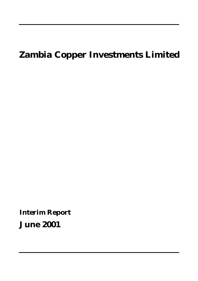# **Zambia Copper Investments Limited**

**Interim Report**

**June 2001**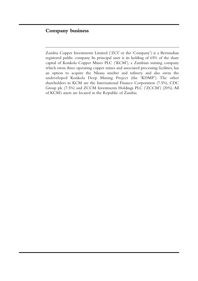# **Company business**

Zambia Copper Investments Limited ('ZCI' or the 'Company') is a Bermudian registered public company. Its principal asset is its holding of 65% of the share capital of Konkola Copper Mines PLC ('KCM'), a Zambian mining company which owns three operating copper mines and associated processing facilities, has an option to acquire the Nkana smelter and refinery and also owns the undeveloped Konkola Deep Mining Project (the 'KDMP'). The other shareholders in KCM are the International Finance Corporation (7.5%), CDC Group plc (7.5%) and ZCCM Investments Holdings PLC ('ZCCM') (20%). All of KCM's assets are located in the Republic of Zambia.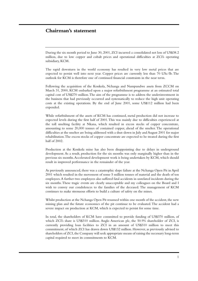# **Chairman's statement**

During the six month period to June 30, 2001, ZCI incurred a consolidated net loss of US\$38.2 million, due to low copper and cobalt prices and operational difficulties at ZCI's operating subsidiary, KCM.

The rapid downturn in the world economy has resulted in very low metal prices that are expected to persist well into next year. Copper prices are currently less than 70 USc/lb. The outlook for KCM is therefore one of continued financial constraints in the near term.

Following the acquisition of the Konkola, Nchanga and Nampundwe assets from ZCCM on March 31, 2000, KCM embarked upon a major refurbishment programme at an estimated total capital cost of US\$270 million.The aim of the programme is to address the underinvestment in the business that had previously occurred and systematically to reduce the high unit operating costs at the existing operations. By the end of June 2001, some US\$112 million had been expended.

While refurbishment of the assets of KCM has continued, metal production did not increase to expected levels during the first half of 2001.This was mainly due to difficulties experienced at the toll smelting facility at Nkana, which resulted in excess stocks of copper concentrate, amounting to some 20,000 tonnes of contained copper, ahead of the smelter. The operational difficulties at the smelter are being addressed with a shut-down in July and August 2001 for major rehabilitation.The excess stocks of copper concentrate are expected to be treated during the first half of 2002.

Production at the Konkola mine has also been disappointing due to delays in underground development. As a result, production for the six months was only marginally higher than in the previous six months.Accelerated development work is being undertaken by KCM, which should result in improved performance in the remainder of the year.

As previously announced, there was a catastrophic slope failure at the Nchanga Open Pit in April 2001 which resulted in the movement of some 5 million tonnes of material and the death of ten employees.A further two employees also suffered fatal accidents in unrelated incidents during the six months.These tragic events are clearly unacceptable and my colleagues on the Board and I wish to convey our condolences to the families of the deceased. The management of KCM continues to make strenuous efforts to build a culture of safety on the mines.

Whilst production at the Nchanga Open Pit resumed within one month of the accident, the new mining plan and the future economics of the pit continue to be evaluated.The accident had a severe impact on production at KCM, which is expected to persist for some time.

In total, the shareholders of KCM have committed to provide funding of US\$370 million, of which ZCI's share is US\$310 million. Anglo American plc, the 50.9% shareholder of ZCI, is currently providing loan facilities to ZCI in an amount of US\$310 million to meet this commitment, of which ZCI has drawn down US\$132 million. However, as previously advised to shareholders of ZCI, the Company will seek appropriate means of raising the necessary long-term capital required to meet its commitments to KCM.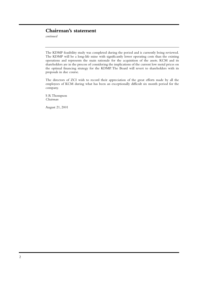# **Chairman's statement**

*continued*

The KDMP feasibility study was completed during the period and is currently being reviewed. The KDMP will be a long-life mine with significantly lower operating costs than the existing operations and represents the main rationale for the acquisition of the assets. KCM and its shareholders are in the process of considering the implications of the current low metal prices on the optimal financing strategy for the KDMP. The Board will revert to shareholders with its proposals in due course.

The directors of ZCI wish to record their appreciation of the great efforts made by all the employees of KCM during what has been an exceptionally difficult six month period for the company.

S R Thompson *Chairman*

August 21, 2001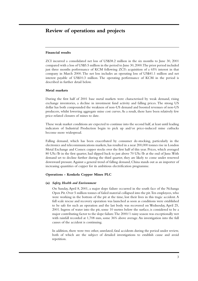# **Review of operations and projects**

### **Financial results**

ZCI incurred a consolidated net loss of US\$38.2 million in the six months to June 30, 2001 compared with a loss of US\$5.5 million in the period to June 30, 2000.The prior period included just three months performance of KCM following ZCI's acquisition of a 65% interest in that company in March 2000. The net loss includes an operating loss of US\$41.1 million and net interest payable of US\$10.3 million. The operating performance of KCM in the period is described in further detail below.

### **Metal markets**

During the first half of 2001 base metal markets were characterised by weak demand, rising exchange inventories, a decline in investment fund activity and falling prices. The strong US dollar has both compounded the weakness of non-US demand and boosted revenues of non-US producers, whilst lowering aggregate mine cost curves.As a result, there have been relatively few price-related closures of mines to date.

These weak market conditions are expected to continue into the second half, at least until leading indicators of Industrial Production begin to pick up and/or price-induced mine cutbacks become more widespread.

Falling demand, which has been exacerbated by consumer de-stocking, particularly in the electronics and telecommunications markets, has resulted in a near 200,000 tonnes rise in London Metal Exchange and Comex copper stocks over the first half of this year. Prices, which averaged 80 USc/lb in the first quarter, had slipped back to just above 70 USc/lb at the end of June.With demand set to decline further during the third quarter, they are likely to come under renewed downward pressure.Against a general trend of falling demand, China stands out as an importer of increasing quantities of copper for its ambitious electrification programme.

### **Operations - Konkola Copper Mines PLC**

### **(a)** *Safety, Health and Environment*

On Sunday, April 8, 2001, a major slope failure occurred in the south face of the Nchanga Open Pit. Over 5 million tonnes of failed material collapsed into the pit.Ten employees, who were working in the bottom of the pit at the time, lost their lives in this tragic accident. A full scale rescue and recovery operation was launched as soon as conditions were established to be safe for such an operation and the last body was recovered on Wednesday, April 25, 2001. Ingress of water into the pit, some 10 metres below the surface, is considered to be a major contributing factor to the slope failure.The 2000/1 rainy season was exceptionally wet with rainfall recorded at 1,708 mm, some 36% above average. An investigation into the full causes of the accident is continuing.

In addition, there were two other, unrelated, fatal accidents during the period under review, both of which are the subject of detailed investigations to establish cause and avoid repetition.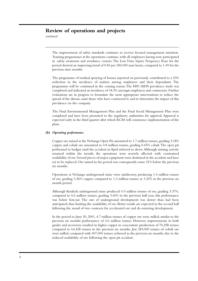# **Review of operations and projects**

*continued*

The improvement of safety standards continues to receive focused management attention. Training programmes at the operations continue, with all employees having now participated in safety awareness and avoidance courses. The Lost Time Injury Frequency Rate for the period showed an improving trend of 0.83 per 200,000 man hours, compared to 1.49 for the previous nine months.

The programme of residual spraying of houses reported on previously contributed to a 53% reduction in the incidence of malaria among employees and their dependants. The programme will be continued in the coming season.The HIV/AIDS prevalence study was completed and indicated an incidence of 18.3% amongst employees and contractors. Further evaluations are in progress to formulate the most appropriate interventions to reduce the spread of the disease, assist those who have contracted it, and to determine the impact of this prevalence on the company.

The Final Environmental Management Plan and the Final Social Management Plan were completed and have been presented to the regulatory authorities for approval. Approval is expected early in the third quarter after which KCM will commence implementation of the plans.

### **(b)** *Operating performance*

Copper ore mined at the Nchanga Open Pit amounted to 1.7 million tonnes, grading 2.18% copper, and cobalt ore amounted to 0.8 million tonnes, grading 0.65% cobalt.The open pit performed to budget until the accident in April referred to above.Although mining activity resumed within the month, the operations were severely affected, with constrained availability of ore. Several pieces of major equipment were destroyed in the accident and have yet to be replaced. Ore mined in the period was consequently some 21% below the previous six months.

Operations at Nchanga underground mine were satisfactory, producing 1.4 million tonnes of ore, grading 3.26% copper, compared to 1.3 million tonnes at 3.22% in the previous six month period.

Although Konkola underground mine produced 0.9 million tonnes of ore, grading 3.37%, compared to 0.6 million tonnes, grading 3.60% in the previous half year, this performance was below forecast. The rate of underground development was slower than had been anticipated, thus limiting the availability of ore. Better results are expected in the second half following the award of two contracts for accelerated ore and de-watering development.

In the period to June 30, 2001, 4.7 million tonnes of copper ore were milled, similar to the previous six months performance of 4.6 million tonnes. However, improvements in both grades and recoveries resulted in higher copper in concentrate production of 70,258 tonnes compared to 64,428 tonnes in the previous six months. Just 383,000 tonnes of cobalt ore were milled, compared with 407,000 tonnes achieved in the previous six months, due to the reduced availability of ore following the open pit accident.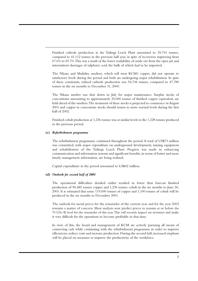Finished cathode production at the Tailings Leach Plant amounted to 35,741 tonnes, compared to 41,112 tonnes in the previous half year, in spite of recoveries improving from 67.6% to 69.7%.This was a result of the lower availability of oxide ore from the open pit and intermittent shortages of sulphuric acid, the bulk of which had to be imported.

The Nkana and Mufulira smelters, which toll treat KCM's copper, did not operate to satisfactory levels during the period and both are undergoing major rehabilitation. In spite of these constraints, refined cathode production was 54,744 tonnes, compared to 47,780 tonnes in the six months to December 31, 2000.

The Nkana smelter was shut down in July for major maintenance. Surplus stocks of concentrates amounting to approximately 20,000 tonnes of finished copper equivalent, are held ahead of the smelters.The treatment of these stocks is projected to commence in August 2001 and copper in concentrate stocks should return to more normal levels during the first half of 2002.

Finished cobalt production at 1,236 tonnes was at similar levels to the 1,228 tonnes produced in the previous period.

### **(c)** *Refurbishment programme*

The refurbishment programme continued throughout the period.A total of US\$73 million was committed, with major expenditure on underground development, mining equipment and rehabilitation of the Tailings Leach Plant. Progress was made in enhancing communication and information systems and significant benefits,in terms of better and more timely management information, are being realized.

Capital expenditure in the period amounted to US\$42 million.

### **(d)** *Outlook for second half of 2001*

The operational difficulties detailed earlier resulted in lower than forecast finished production of 90,485 tonnes copper and 1,236 tonnes cobalt in the six months to June 30, 2001. It is estimated that some 119,000 tonnes of copper and 1,100 tonnes of cobalt will be produced in the six months to December 2001.

The outlook for metal prices for the remainder of the current year and for the year 2002 remains a matter of concern. Most analysts now predict prices to remain at or below the 70 USc/lb level for the remainder of this year.This will severely impact on revenues and make it very difficult for the operations to become profitable in that time.

In view of this, the board and management of KCM are actively pursuing all means of conserving cash while continuing with the refurbishment programme in order to improve efficiencies, reduce costs and increase production. During the second half, increased emphasis will be placed on measures to improve the productivity of the workforce.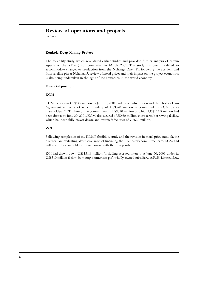# **Review of operations and projects**

*continued*

### **Konkola Deep Mining Project**

The feasibility study, which revalidated earlier studies and provided further analysis of certain aspects of the KDMP, was completed in March 2001. The study has been modified to accommodate changes to production from the Nchanga Open Pit following the accident and from satellite pits at Nchanga.A review of metal prices and their impact on the project economics is also being undertaken in the light of the downturn in the world economy.

### **Financial position**

### **KCM**

KCM had drawn US\$145 million by June 30, 2001 under the Subscription and Shareholder Loan Agreement in terms of which funding of US\$370 million is committed to KCM by its shareholders. ZCI's share of the commitment is US\$310 million of which US\$117.8 million had been drawn by June 30, 2001. KCM also secured a US\$60 million short-term borrowing facility, which has been fully drawn down, and overdraft facilities of US\$20 million.

### **ZCI**

Following completion of the KDMP feasibility study and the revision in metal price outlook, the directors are evaluating alternative ways of financing the Company's commitments to KCM and will revert to shareholders in due course with their proposals.

ZCI had drawn down US\$131.9 million (including accrued interest) at June 30, 2001 under its US\$310 million facility from Anglo American plc's wholly-owned subsidiary, A.R.H. Limited S.A..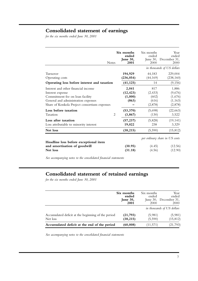# **Consolidated statement of earnings**

*for the six months ended June 30, 2001*

| <b>Notes</b>                                                                                                                                                                      | Six months<br>ended<br>June 30,<br>2001 | Six months<br>ended<br>2000                  | Year<br>ended<br>June 30, December 31,<br>2000     |
|-----------------------------------------------------------------------------------------------------------------------------------------------------------------------------------|-----------------------------------------|----------------------------------------------|----------------------------------------------------|
|                                                                                                                                                                                   |                                         |                                              | in thousands of US dollars                         |
| Turnover<br>Operating costs                                                                                                                                                       | 194,929<br>(236, 054)                   | 44,183<br>(44, 169)                          | 229,004<br>(238, 160)                              |
| Operating loss before interest and taxation                                                                                                                                       | (41, 125)                               | 14                                           | (9, 156)                                           |
| Interest and other financial income<br>Interest expense<br>Commitment fee on loan facility<br>General and administration expenses<br>Share of Konkola Project consortium expenses | 2,041<br>(12, 423)<br>(1,000)<br>(863)  | 817<br>(2, 433)<br>(602)<br>(616)<br>(2,878) | 1,886<br>(9,676)<br>(1,676)<br>(1, 163)<br>(2,878) |
| Loss before taxation<br>Taxation<br>$\overline{2}$                                                                                                                                | (53, 370)<br>(3, 867)                   | (5,698)<br>(130)                             | (22, 663)<br>3,522                                 |
| Loss after taxation<br>Loss attributable to minority interest                                                                                                                     | (57, 237)<br>19,022                     | (5,828)<br>238                               | (19, 141)<br>3,329                                 |
| Net loss                                                                                                                                                                          | (38, 215)                               | (5,590)                                      | (15, 812)                                          |
| Headline loss before exceptional item<br>and amortisation of goodwill                                                                                                             | (30.95)                                 | (4.45)                                       | per ordinary share in US cents<br>(12.56)          |
| Net loss                                                                                                                                                                          | (31.18)                                 | (4.56)                                       | (12.90)                                            |

*See accompanying notes to the consolidated financial statements*

# **Consolidated statement of retained earnings**

*for the six months ended June 30, 2001*

|                                                                | Six months<br>ended<br>June 30,<br>2001 | Six months<br>ended<br>2000 | Year<br>ended<br>June 30, December 31,<br>2000 |
|----------------------------------------------------------------|-----------------------------------------|-----------------------------|------------------------------------------------|
|                                                                |                                         |                             | in thousands of US dollars                     |
| Accumulated deficit at the beginning of the period<br>Net loss | (21,793)<br>(38, 215)                   | (5,981)<br>(5,590)          | (5,981)<br>(15, 812)                           |
| Accumulated deficit at the end of the period                   | (60,008)                                | (11,571)                    | (21,793)                                       |

*See accompanying notes to the consolidated financial statements*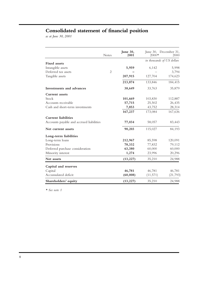# **Consolidated statement of financial position**

*as at June 30, 2001*

|                                          | <b>Notes</b>   | June 30,<br>2001 | June 30, December 31,<br>$2000*$ | 2000      |
|------------------------------------------|----------------|------------------|----------------------------------|-----------|
|                                          |                |                  | in thousands of US dollars       |           |
| <b>Fixed</b> assets                      |                |                  |                                  |           |
| Intangible assets                        |                | 5,959            | 6,142                            | 5,998     |
| Deferred tax assets                      | $\overline{2}$ |                  |                                  | 3,794     |
| Tangible assets                          |                | 207,915          | 127,704                          | 174,623   |
|                                          |                | 213,874          | 133,846                          | 184,415   |
| Investments and advances                 |                | 38,649           | 33,763                           | 35,879    |
| <b>Current</b> assets                    |                |                  |                                  |           |
| Stock                                    |                | 101,669          | 103,830                          | 112,887   |
| Accounts receivable                      |                | 57,715           | 25,502                           | 26,435    |
| Cash and short-term investments          |                | 7,853            | 43,752                           | 28,314    |
|                                          |                | 167,237          | 173,084                          | 167,636   |
| <b>Current liabilities</b>               |                |                  |                                  |           |
| Accounts payable and accrued liabilities |                | 77,034           | 58,057                           | 83,443    |
| Net current assets                       |                | 90,203           | 115,027                          | 84,193    |
| Long-term liabilities                    |                |                  |                                  |           |
| Long-term loans                          |                | 212,967          | 85,598                           | 120,091   |
| Provisions                               |                | 78,332           | 77,832                           | 79,112    |
| Deferred purchase consideration          |                | 63,380           | 60,000                           | 60,000    |
| Minority interest                        |                | 1,274            | 23,996                           | 20,296    |
| Net assets                               |                | (13, 227)        | 35,210                           | 24,988    |
| Capital and reserves                     |                |                  |                                  |           |
| Capital                                  |                | 46,781           | 46,781                           | 46,781    |
| Accumulated deficit                      |                | (60, 008)        | (11,571)                         | (21, 793) |
| Shareholders' equity                     |                | (13, 227)        | 35,210                           | 24,988    |

*\* See note 1*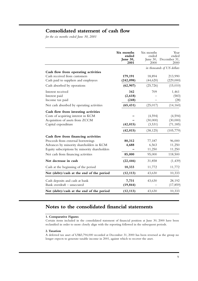# **Consolidated statement of cash flow**

*for the six months ended June 30, 2001*

|                                               | Six months<br>ended<br>June 30,<br>2001 | Six months<br>ended<br>June 30,<br>2000 | Year<br>ended<br>December 31,<br>2000 |  |
|-----------------------------------------------|-----------------------------------------|-----------------------------------------|---------------------------------------|--|
|                                               |                                         | in thousands of US dollars              |                                       |  |
| Cash flow from operating activities           |                                         |                                         |                                       |  |
| Cash received from customers                  | 179,191                                 | 18,894                                  | 213,990                               |  |
| Cash paid to suppliers and employees          | (242, 098)                              | (44, 620)                               | (229,000)                             |  |
| Cash absorbed by operations                   | (62, 907)                               | (25, 726)                               | (15,010)                              |  |
| Interest received                             | 342                                     | 709                                     | 1,461                                 |  |
| Interest paid                                 | (2,618)                                 |                                         | (583)                                 |  |
| Income tax paid                               | (248)                                   |                                         | (28)                                  |  |
| Net cash absorbed by operating activities     | (65, 431)                               | (25, 017)                               | (14, 160)                             |  |
| Cash flow from investing activities           |                                         |                                         |                                       |  |
| Costs of acquiring interest in KCM            |                                         | (4,594)                                 | (4,594)                               |  |
| Acquisition of assets from ZCCM               |                                         | (30,000)                                | (30,000)                              |  |
| Capital expenditure                           | (42, 015)                               | (3,531)                                 | (71, 185)                             |  |
|                                               | (42, 015)                               | (38, 125)                               | (105, 779)                            |  |
| Cash flow from financing activities           |                                         |                                         |                                       |  |
| Proceeds from external borrowings             | 80,312                                  | 77,187                                  | 96,000                                |  |
| Advances by minority shareholders in KCM      | 4,688                                   | 6,563                                   | 11,250                                |  |
| Equity subscriptions by minority shareholders |                                         | 11,250                                  | 11,250                                |  |
| Net cash from financing activities            | 85,000                                  | 95,000                                  | 118,500                               |  |
| Net decrease in cash                          | (22, 446)                               | 31,858                                  | (1, 439)                              |  |
| Cash at the beginning of the period           | 10,333                                  | 11,772                                  | 11,772                                |  |
| Net (debt)/cash at the end of the period      | (12, 113)                               | 43,630                                  | 10,333                                |  |
| Cash deposits and cash at bank                | 7,731                                   | 43,630                                  | 28,192                                |  |
| Bank overdraft - unsecured                    | (19, 844)                               |                                         | (17, 859)                             |  |
| Net (debt)/cash at the end of the period      | (12, 113)                               | 43,630                                  | 10,333                                |  |

# **Notes to the consolidated financial statements**

### **1. Comparative Figures**

Certain items included in the consolidated statement of financial position at June 30, 2000 have been reclassified in order to more closely align with the reporting followed in the subsequent periods.

### **2.Taxation**

A deferred tax asset of US\$3,794,000 recorded at December 31, 2000 has been reversed as the group no longer expects to generate taxable income in 2001, against which to recover the asset.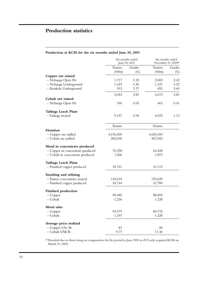# **Production statistics**

## **Production at KCM for the six months ended June 30, 2001**

|                                  | Six months ended<br>June 30, 2001 |        | Six months ended<br>December 31, 2000* |        |
|----------------------------------|-----------------------------------|--------|----------------------------------------|--------|
|                                  | Tonnes                            | Grades | Tonnes                                 | Grades |
|                                  | (000t)                            | $(\%)$ | (000t)                                 | $(\%)$ |
| Copper ore mined                 |                                   |        |                                        |        |
| - Nchanga Open Pit               | 1,717                             | 2.18   | 2,683                                  | 2.42   |
| - Nchanga Underground            | 1,423                             | 3.26   | 1,337                                  | 3.22   |
| - Konkola Underground            | 913                               | 3.37   | 653                                    | 3.60   |
|                                  | 4,053                             | 2.83   | 4,673                                  | 2.81   |
| Cobalt ore mined                 |                                   |        |                                        |        |
| - Nchanga Open Pit               | 766                               | 0.65   | 463                                    | 0.41   |
| <b>Tailings Leach Plant</b>      |                                   |        |                                        |        |
| -Tailings treated                | 5,157                             | 0.94   | 4,922                                  | 1.13   |
|                                  | <b>Tonnes</b>                     |        | Tonnes                                 |        |
| Flotation                        |                                   |        |                                        |        |
| - Copper ore milled              | 4,676,000                         |        | 4,620,000                              |        |
| - Cobalt ore milled              | 383,000                           |        | 407,000                                |        |
| Metal in concentrate produced    |                                   |        |                                        |        |
| - Copper in concentrate produced | 70,258                            |        | 64,428                                 |        |
| - Cobalt in concentrate produced | 1,566                             |        | 1,873                                  |        |
| <b>Tailings Leach Plant</b>      |                                   |        |                                        |        |
| - Finished copper produced       | 35,741                            |        | 41,112                                 |        |
| Smelting and refining            |                                   |        |                                        |        |
| - Tonnes concentrate treated     | 146,616                           |        | 120,629                                |        |
| - Finished copper produced       | 54,744                            |        | 47,780                                 |        |
| <b>Finished production</b>       |                                   |        |                                        |        |
| $-$ Copper                       | 90,485                            |        | 88,892                                 |        |
| $-$ Cobalt                       | 1,236                             |        | 1,228                                  |        |
| Metal sales                      |                                   |        |                                        |        |
| $-$ Copper                       | 93,079                            |        | 84,732                                 |        |
| - Cobalt                         | 1,297                             |        | 1,228                                  |        |
| Average price realised           |                                   |        |                                        |        |
| - Copper USc/lb                  | 81                                |        | 85                                     |        |
| - Cobalt US\$/lb                 | 9.77                              |        | 11.46                                  |        |

*\** Provided due to there being no comparatives for the period to June 2000 as ZCI only acquired KCM on March 31, 2000.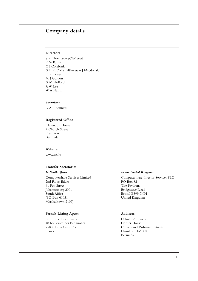# **Company details**

### **Directors**

S R Thompson *(Chairman)* P M Baum C J Colebank G B R Collis (*Alternate* – J Macdonald) H R Fraser M J Gordon G M Holford A W Lea W A Nairn

### **Secretary**

D A L Bennett

### **Registered Office**

Clarendon House 2 Church Street Hamilton Bermuda

### **Website**

www.zci.lu

### **Transfer Secretaries**

2nd Floor, Edura 41 Fox Street The Pavilions Johannesburg 2001 Bridgwater Road South Africa Bristol BS99 7NH (PO Box 61051 United Kingdom Marshalltown 2107)

### **French Listing Agent 4.4 Auditors**

Euro Emetteurs Finance Deloitte & Touche 48 boulevard des Batignolles Corner House France Hamilton HMFCC

### *In South Africa In the United Kingdom*

Computershare Services Limited Computershare Investor Services PLC

75850 Paris Cedex 17 Church and Parliament Streets Bermuda